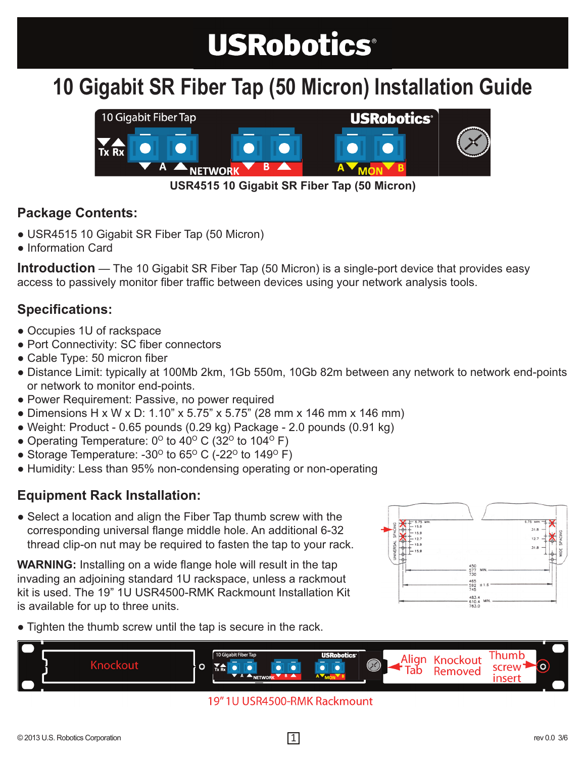# **USRobotics®**

### **10 Gigabit SR Fiber Tap (50 Micron) Installation Guide**



**USR4515 10 Gigabit SR Fiber Tap (50 Micron)**

#### **Package Contents:**

- USR4515 10 Gigabit SR Fiber Tap (50 Micron)
- Information Card

**Introduction** — The 10 Gigabit SR Fiber Tap (50 Micron) is a single-port device that provides easy access to passively monitor fiber traffic between devices using your network analysis tools.

#### **Specifications:**

- Occupies 1U of rackspace
- Port Connectivity: SC fiber connectors
- Cable Type: 50 micron fiber
- Distance Limit: typically at 100Mb 2km, 1Gb 550m, 10Gb 82m between any network to network end-points or network to monitor end-points.
- Power Requirement: Passive, no power required
- Dimensions H x W x D: 1.10" x 5.75" x 5.75" (28 mm x 146 mm x 146 mm)
- $\bullet$  Weight: Product 0.65 pounds (0.29 kg) Package 2.0 pounds (0.91 kg)
- Operating Temperature:  $0^{\circ}$  to 40° C (32° to 104° F)
- Storage Temperature: -30 $^{\circ}$  to 65 $^{\circ}$  C (-22 $^{\circ}$  to 149 $^{\circ}$  F)
- Humidity: Less than 95% non-condensing operating or non-operating

#### **Equipment Rack Installation:**

• Select a location and align the Fiber Tap thumb screw with the corresponding universal flange middle hole. An additional 6-32 thread clip-on nut may be required to fasten the tap to your rack.

**WARNING:** Installing on a wide flange hole will result in the tap invading an adjoining standard 1U rackspace, unless a rackmout kit is used. The 19" 1U USR4500-RMK Rackmount Installation Kit is available for up to three units.



• Tighten the thumb screw until the tap is secure in the rack.



#### 19" 1U USR4500-RMK Rackmount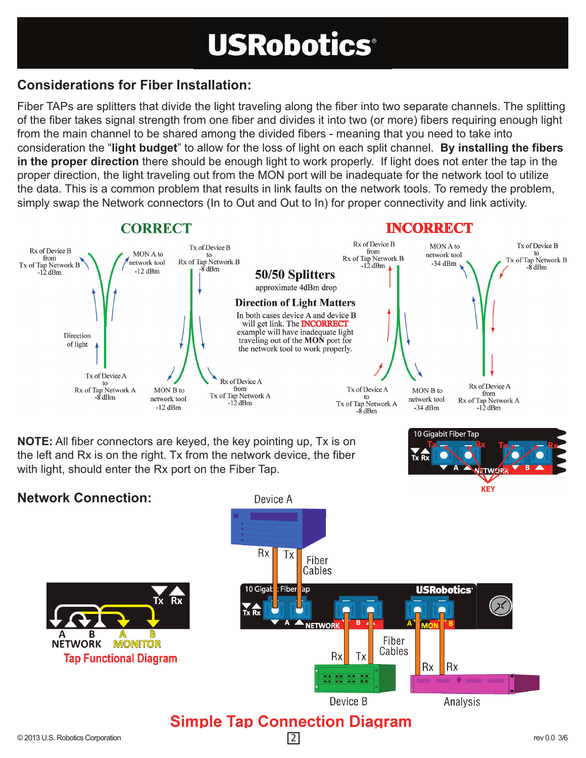# **USRobotics®**

#### **Considerations for Fiber Installation:**

Fiber TAPs are splitters that divide the light traveling along the fiber into two separate channels. The splitting of the fiber takes signal strength from one fiber and divides it into two (or more) fibers requiring enough light from the main channel to be shared among the divided fibers - meaning that you need to take into consideration the "**light budget**" to allow for the loss of light on each split channel. **By installing the fibers in the proper direction** there should be enough light to work properly. If light does not enter the tap in the proper direction, the light traveling out from the MON port will be inadequate for the network tool to utilize the data. This is a common problem that results in link faults on the network tools. To remedy the problem, simply swap the Network connectors (In to Out and Out to In) for proper connectivity and link activity.



**NOTE:** All fiber connectors are keyed, the key pointing up, Tx is on the left and Rx is on the right. Tx from the network device, the fiber with light, should enter the Rx port on the Fiber Tap.